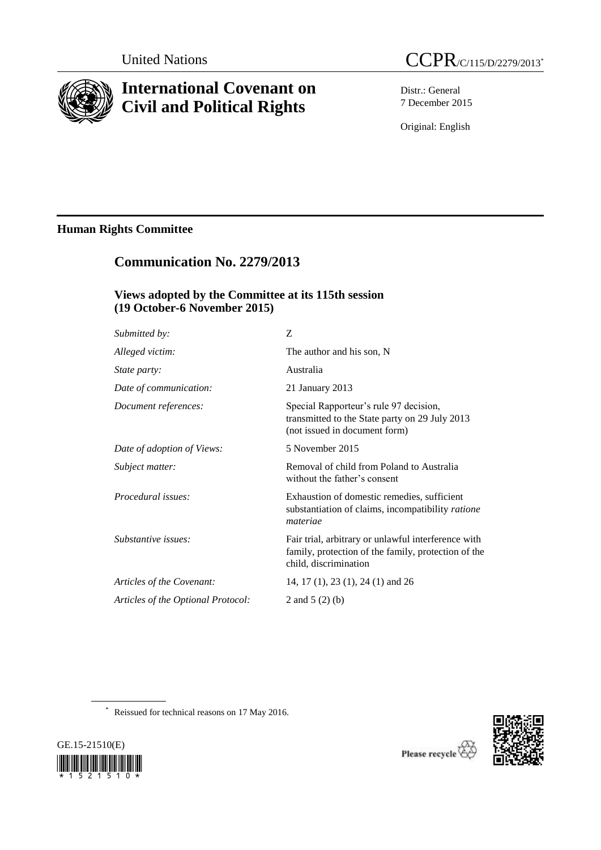

# **International Covenant on Civil and Political Rights**

United Nations CCPR/C/115/D/2279/2013\*

Distr.: General 7 December 2015

Original: English

## **Human Rights Committee**

## **Communication No. 2279/2013**

### **Views adopted by the Committee at its 115th session (19 October-6 November 2015)**

| Submitted by:                      | Z                                                                                                                                   |
|------------------------------------|-------------------------------------------------------------------------------------------------------------------------------------|
| Alleged victim:                    | The author and his son, N                                                                                                           |
| <i>State party:</i>                | Australia                                                                                                                           |
| Date of communication:             | 21 January 2013                                                                                                                     |
| Document references:               | Special Rapporteur's rule 97 decision,<br>transmitted to the State party on 29 July 2013<br>(not issued in document form)           |
| Date of adoption of Views:         | 5 November 2015                                                                                                                     |
| Subject matter:                    | Removal of child from Poland to Australia<br>without the father's consent                                                           |
| Procedural issues:                 | Exhaustion of domestic remedies, sufficient<br>substantiation of claims, incompatibility ratione<br>materiae                        |
| Substantive issues:                | Fair trial, arbitrary or unlawful interference with<br>family, protection of the family, protection of the<br>child, discrimination |
| Articles of the Covenant:          | 14, 17 (1), 23 (1), 24 (1) and 26                                                                                                   |
| Articles of the Optional Protocol: | 2 and $5(2)(b)$                                                                                                                     |
|                                    |                                                                                                                                     |

\* Reissued for technical reasons on 17 May 2016.





Please recycle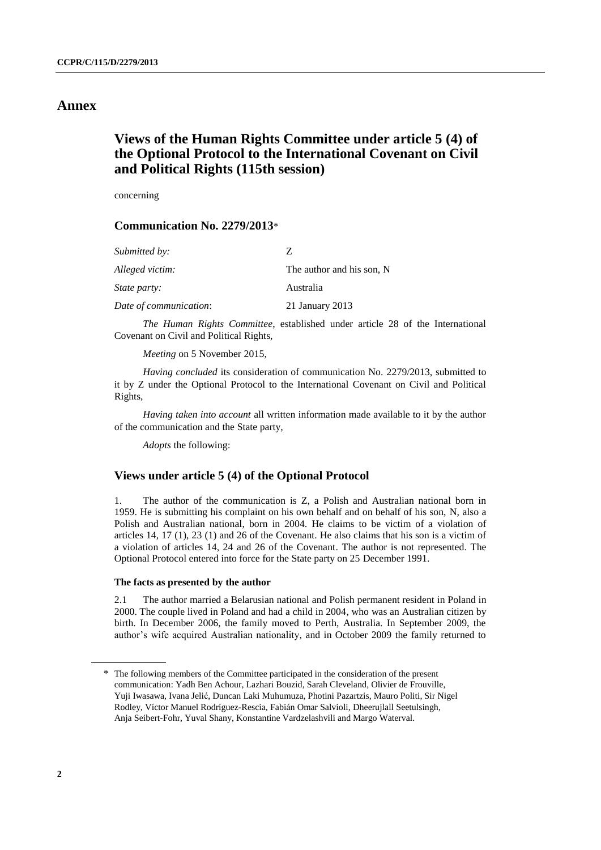### **Annex**

## **Views of the Human Rights Committee under article 5 (4) of the Optional Protocol to the International Covenant on Civil and Political Rights (115th session)**

concerning

#### **Communication No. 2279/2013**\*

| Submitted by:          | 7                         |
|------------------------|---------------------------|
| Alleged victim:        | The author and his son, N |
| <i>State party:</i>    | Australia                 |
| Date of communication: | 21 January 2013           |

*The Human Rights Committee*, established under article 28 of the International Covenant on Civil and Political Rights,

*Meeting* on 5 November 2015,

*Having concluded* its consideration of communication No. 2279/2013, submitted to it by Z under the Optional Protocol to the International Covenant on Civil and Political Rights,

*Having taken into account* all written information made available to it by the author of the communication and the State party,

*Adopts* the following:

#### **Views under article 5 (4) of the Optional Protocol**

1. The author of the communication is Z, a Polish and Australian national born in 1959. He is submitting his complaint on his own behalf and on behalf of his son, N, also a Polish and Australian national, born in 2004. He claims to be victim of a violation of articles 14, 17 (1), 23 (1) and 26 of the Covenant. He also claims that his son is a victim of a violation of articles 14, 24 and 26 of the Covenant. The author is not represented. The Optional Protocol entered into force for the State party on 25 December 1991.

#### **The facts as presented by the author**

2.1 The author married a Belarusian national and Polish permanent resident in Poland in 2000. The couple lived in Poland and had a child in 2004, who was an Australian citizen by birth. In December 2006, the family moved to Perth, Australia. In September 2009, the author's wife acquired Australian nationality, and in October 2009 the family returned to

<sup>\*</sup> The following members of the Committee participated in the consideration of the present communication: Yadh Ben Achour, Lazhari Bouzid, Sarah Cleveland, Olivier de Frouville, Yuji Iwasawa, Ivana Jelić, Duncan Laki Muhumuza, Photini Pazartzis, Mauro Politi, Sir Nigel Rodley, Víctor Manuel Rodríguez-Rescia, Fabián Omar Salvioli, Dheerujlall Seetulsingh, Anja Seibert-Fohr, Yuval Shany, Konstantine Vardzelashvili and Margo Waterval.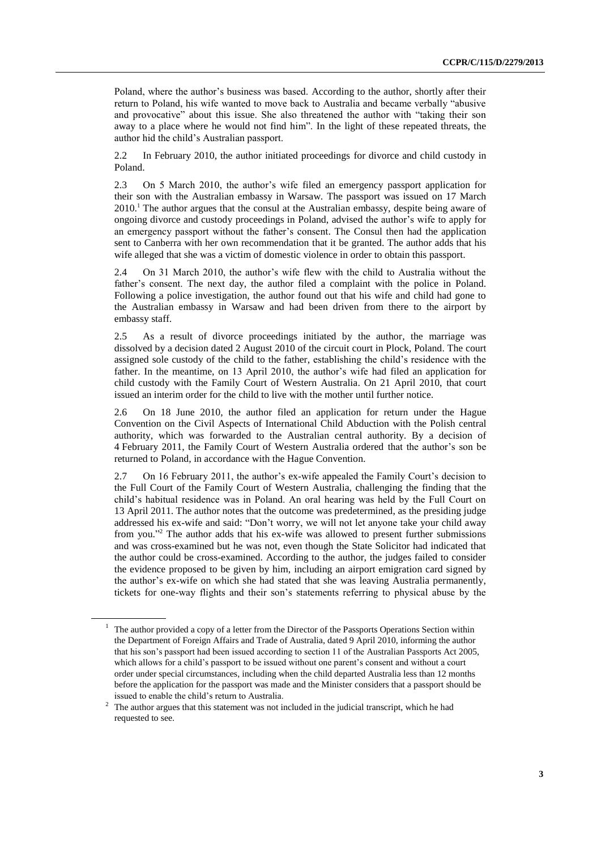Poland, where the author's business was based. According to the author, shortly after their return to Poland, his wife wanted to move back to Australia and became verbally "abusive and provocative" about this issue. She also threatened the author with "taking their son away to a place where he would not find him". In the light of these repeated threats, the author hid the child's Australian passport.

2.2 In February 2010, the author initiated proceedings for divorce and child custody in Poland.

2.3 On 5 March 2010, the author's wife filed an emergency passport application for their son with the Australian embassy in Warsaw. The passport was issued on 17 March  $2010<sup>1</sup>$ . The author argues that the consul at the Australian embassy, despite being aware of ongoing divorce and custody proceedings in Poland, advised the author's wife to apply for an emergency passport without the father's consent. The Consul then had the application sent to Canberra with her own recommendation that it be granted. The author adds that his wife alleged that she was a victim of domestic violence in order to obtain this passport.

2.4 On 31 March 2010, the author's wife flew with the child to Australia without the father's consent. The next day, the author filed a complaint with the police in Poland. Following a police investigation, the author found out that his wife and child had gone to the Australian embassy in Warsaw and had been driven from there to the airport by embassy staff.

2.5 As a result of divorce proceedings initiated by the author, the marriage was dissolved by a decision dated 2 August 2010 of the circuit court in Plock, Poland. The court assigned sole custody of the child to the father, establishing the child's residence with the father. In the meantime, on 13 April 2010, the author's wife had filed an application for child custody with the Family Court of Western Australia. On 21 April 2010, that court issued an interim order for the child to live with the mother until further notice.

2.6 On 18 June 2010, the author filed an application for return under the Hague Convention on the Civil Aspects of International Child Abduction with the Polish central authority, which was forwarded to the Australian central authority. By a decision of 4 February 2011, the Family Court of Western Australia ordered that the author's son be returned to Poland, in accordance with the Hague Convention.

2.7 On 16 February 2011, the author's ex-wife appealed the Family Court's decision to the Full Court of the Family Court of Western Australia, challenging the finding that the child's habitual residence was in Poland. An oral hearing was held by the Full Court on 13 April 2011. The author notes that the outcome was predetermined, as the presiding judge addressed his ex-wife and said: "Don't worry, we will not let anyone take your child away from you."<sup>2</sup> The author adds that his ex-wife was allowed to present further submissions and was cross-examined but he was not, even though the State Solicitor had indicated that the author could be cross-examined. According to the author, the judges failed to consider the evidence proposed to be given by him, including an airport emigration card signed by the author's ex-wife on which she had stated that she was leaving Australia permanently, tickets for one-way flights and their son's statements referring to physical abuse by the

<sup>&</sup>lt;sup>1</sup> The author provided a copy of a letter from the Director of the Passports Operations Section within the Department of Foreign Affairs and Trade of Australia, dated 9 April 2010, informing the author that his son's passport had been issued according to section 11 of the Australian Passports Act 2005, which allows for a child's passport to be issued without one parent's consent and without a court order under special circumstances, including when the child departed Australia less than 12 months before the application for the passport was made and the Minister considers that a passport should be issued to enable the child's return to Australia.

<sup>&</sup>lt;sup>2</sup> The author argues that this statement was not included in the judicial transcript, which he had requested to see.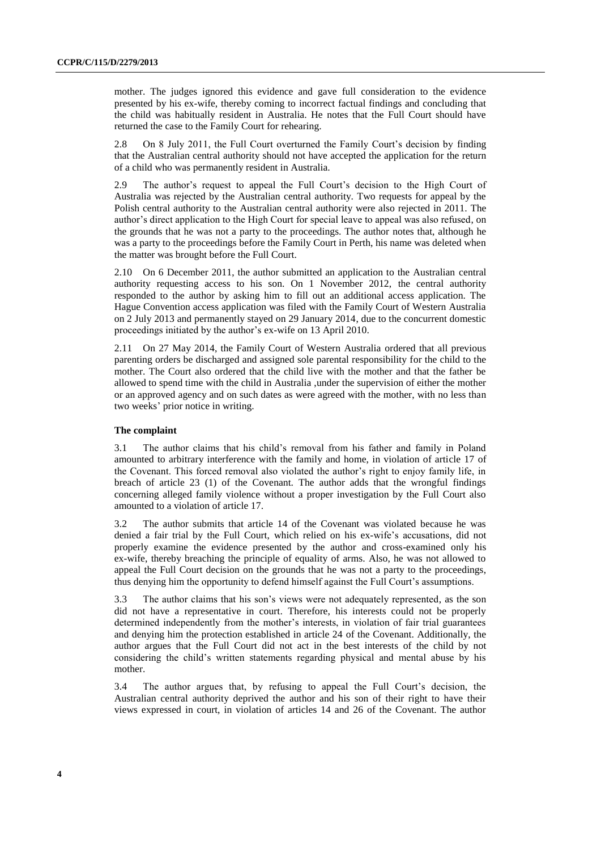mother. The judges ignored this evidence and gave full consideration to the evidence presented by his ex-wife, thereby coming to incorrect factual findings and concluding that the child was habitually resident in Australia. He notes that the Full Court should have returned the case to the Family Court for rehearing.

2.8 On 8 July 2011, the Full Court overturned the Family Court's decision by finding that the Australian central authority should not have accepted the application for the return of a child who was permanently resident in Australia.

2.9 The author's request to appeal the Full Court's decision to the High Court of Australia was rejected by the Australian central authority. Two requests for appeal by the Polish central authority to the Australian central authority were also rejected in 2011. The author's direct application to the High Court for special leave to appeal was also refused, on the grounds that he was not a party to the proceedings. The author notes that, although he was a party to the proceedings before the Family Court in Perth, his name was deleted when the matter was brought before the Full Court.

2.10 On 6 December 2011, the author submitted an application to the Australian central authority requesting access to his son. On 1 November 2012, the central authority responded to the author by asking him to fill out an additional access application. The Hague Convention access application was filed with the Family Court of Western Australia on 2 July 2013 and permanently stayed on 29 January 2014, due to the concurrent domestic proceedings initiated by the author's ex-wife on 13 April 2010.

2.11 On 27 May 2014, the Family Court of Western Australia ordered that all previous parenting orders be discharged and assigned sole parental responsibility for the child to the mother. The Court also ordered that the child live with the mother and that the father be allowed to spend time with the child in Australia ,under the supervision of either the mother or an approved agency and on such dates as were agreed with the mother, with no less than two weeks' prior notice in writing.

#### **The complaint**

3.1 The author claims that his child's removal from his father and family in Poland amounted to arbitrary interference with the family and home, in violation of article 17 of the Covenant. This forced removal also violated the author's right to enjoy family life, in breach of article 23 (1) of the Covenant. The author adds that the wrongful findings concerning alleged family violence without a proper investigation by the Full Court also amounted to a violation of article 17.

3.2 The author submits that article 14 of the Covenant was violated because he was denied a fair trial by the Full Court, which relied on his ex-wife's accusations, did not properly examine the evidence presented by the author and cross-examined only his ex-wife, thereby breaching the principle of equality of arms. Also, he was not allowed to appeal the Full Court decision on the grounds that he was not a party to the proceedings, thus denying him the opportunity to defend himself against the Full Court's assumptions.

3.3 The author claims that his son's views were not adequately represented, as the son did not have a representative in court. Therefore, his interests could not be properly determined independently from the mother's interests, in violation of fair trial guarantees and denying him the protection established in article 24 of the Covenant. Additionally, the author argues that the Full Court did not act in the best interests of the child by not considering the child's written statements regarding physical and mental abuse by his mother.

3.4 The author argues that, by refusing to appeal the Full Court's decision, the Australian central authority deprived the author and his son of their right to have their views expressed in court, in violation of articles 14 and 26 of the Covenant. The author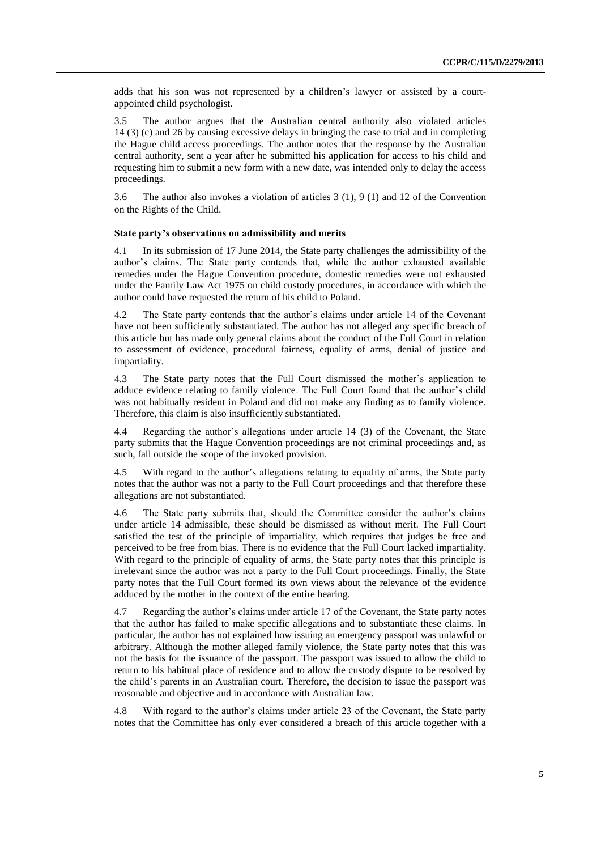adds that his son was not represented by a children's lawyer or assisted by a courtappointed child psychologist.

3.5 The author argues that the Australian central authority also violated articles 14 (3) (c) and 26 by causing excessive delays in bringing the case to trial and in completing the Hague child access proceedings. The author notes that the response by the Australian central authority, sent a year after he submitted his application for access to his child and requesting him to submit a new form with a new date, was intended only to delay the access proceedings.

3.6 The author also invokes a violation of articles 3 (1), 9 (1) and 12 of the Convention on the Rights of the Child.

#### **State party's observations on admissibility and merits**

4.1 In its submission of 17 June 2014, the State party challenges the admissibility of the author's claims. The State party contends that, while the author exhausted available remedies under the Hague Convention procedure, domestic remedies were not exhausted under the Family Law Act 1975 on child custody procedures, in accordance with which the author could have requested the return of his child to Poland.

4.2 The State party contends that the author's claims under article 14 of the Covenant have not been sufficiently substantiated. The author has not alleged any specific breach of this article but has made only general claims about the conduct of the Full Court in relation to assessment of evidence, procedural fairness, equality of arms, denial of justice and impartiality.

4.3 The State party notes that the Full Court dismissed the mother's application to adduce evidence relating to family violence. The Full Court found that the author's child was not habitually resident in Poland and did not make any finding as to family violence. Therefore, this claim is also insufficiently substantiated.

4.4 Regarding the author's allegations under article 14 (3) of the Covenant, the State party submits that the Hague Convention proceedings are not criminal proceedings and, as such, fall outside the scope of the invoked provision.

4.5 With regard to the author's allegations relating to equality of arms, the State party notes that the author was not a party to the Full Court proceedings and that therefore these allegations are not substantiated.

4.6 The State party submits that, should the Committee consider the author's claims under article 14 admissible, these should be dismissed as without merit. The Full Court satisfied the test of the principle of impartiality, which requires that judges be free and perceived to be free from bias. There is no evidence that the Full Court lacked impartiality. With regard to the principle of equality of arms, the State party notes that this principle is irrelevant since the author was not a party to the Full Court proceedings. Finally, the State party notes that the Full Court formed its own views about the relevance of the evidence adduced by the mother in the context of the entire hearing.

4.7 Regarding the author's claims under article 17 of the Covenant, the State party notes that the author has failed to make specific allegations and to substantiate these claims. In particular, the author has not explained how issuing an emergency passport was unlawful or arbitrary. Although the mother alleged family violence, the State party notes that this was not the basis for the issuance of the passport. The passport was issued to allow the child to return to his habitual place of residence and to allow the custody dispute to be resolved by the child's parents in an Australian court. Therefore, the decision to issue the passport was reasonable and objective and in accordance with Australian law.

4.8 With regard to the author's claims under article 23 of the Covenant, the State party notes that the Committee has only ever considered a breach of this article together with a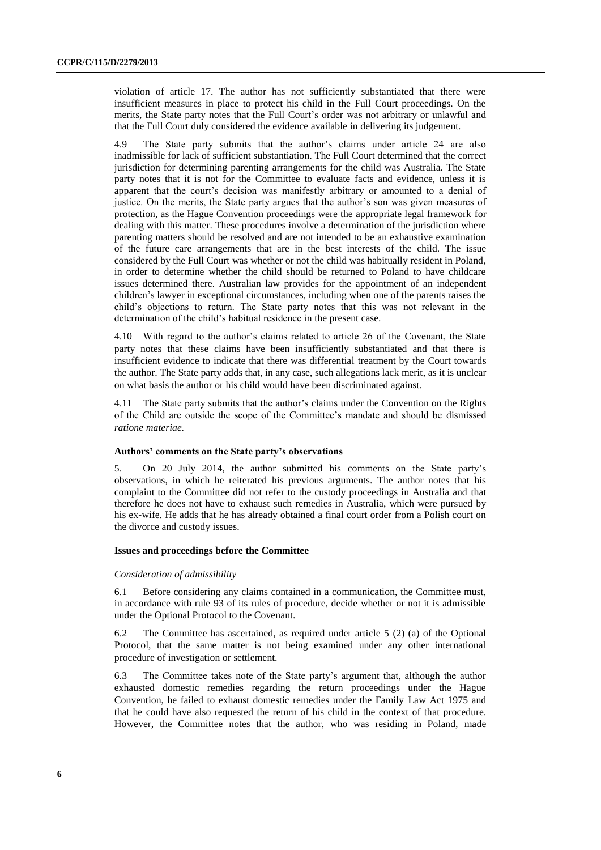violation of article 17. The author has not sufficiently substantiated that there were insufficient measures in place to protect his child in the Full Court proceedings. On the merits, the State party notes that the Full Court's order was not arbitrary or unlawful and that the Full Court duly considered the evidence available in delivering its judgement.

4.9 The State party submits that the author's claims under article 24 are also inadmissible for lack of sufficient substantiation. The Full Court determined that the correct jurisdiction for determining parenting arrangements for the child was Australia. The State party notes that it is not for the Committee to evaluate facts and evidence, unless it is apparent that the court's decision was manifestly arbitrary or amounted to a denial of justice. On the merits, the State party argues that the author's son was given measures of protection, as the Hague Convention proceedings were the appropriate legal framework for dealing with this matter. These procedures involve a determination of the jurisdiction where parenting matters should be resolved and are not intended to be an exhaustive examination of the future care arrangements that are in the best interests of the child. The issue considered by the Full Court was whether or not the child was habitually resident in Poland, in order to determine whether the child should be returned to Poland to have childcare issues determined there. Australian law provides for the appointment of an independent children's lawyer in exceptional circumstances, including when one of the parents raises the child's objections to return. The State party notes that this was not relevant in the determination of the child's habitual residence in the present case.

4.10 With regard to the author's claims related to article 26 of the Covenant, the State party notes that these claims have been insufficiently substantiated and that there is insufficient evidence to indicate that there was differential treatment by the Court towards the author. The State party adds that, in any case, such allegations lack merit, as it is unclear on what basis the author or his child would have been discriminated against.

4.11 The State party submits that the author's claims under the Convention on the Rights of the Child are outside the scope of the Committee's mandate and should be dismissed *ratione materiae.*

#### **Authors' comments on the State party's observations**

5. On 20 July 2014, the author submitted his comments on the State party's observations, in which he reiterated his previous arguments. The author notes that his complaint to the Committee did not refer to the custody proceedings in Australia and that therefore he does not have to exhaust such remedies in Australia, which were pursued by his ex-wife. He adds that he has already obtained a final court order from a Polish court on the divorce and custody issues.

#### **Issues and proceedings before the Committee**

#### *Consideration of admissibility*

6.1 Before considering any claims contained in a communication, the Committee must, in accordance with rule 93 of its rules of procedure, decide whether or not it is admissible under the Optional Protocol to the Covenant.

6.2 The Committee has ascertained, as required under article 5 (2) (a) of the Optional Protocol, that the same matter is not being examined under any other international procedure of investigation or settlement.

6.3 The Committee takes note of the State party's argument that, although the author exhausted domestic remedies regarding the return proceedings under the Hague Convention, he failed to exhaust domestic remedies under the Family Law Act 1975 and that he could have also requested the return of his child in the context of that procedure. However, the Committee notes that the author, who was residing in Poland, made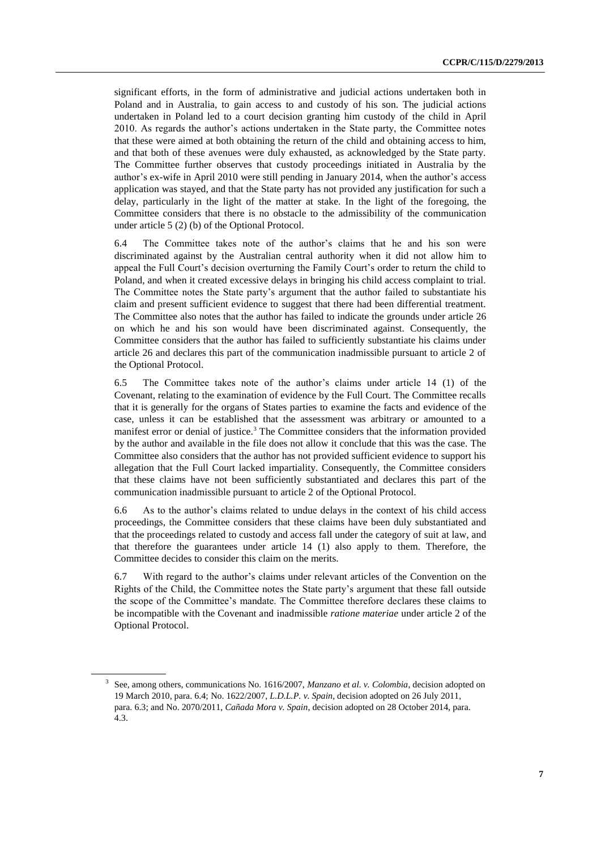significant efforts, in the form of administrative and judicial actions undertaken both in Poland and in Australia, to gain access to and custody of his son. The judicial actions undertaken in Poland led to a court decision granting him custody of the child in April 2010. As regards the author's actions undertaken in the State party, the Committee notes that these were aimed at both obtaining the return of the child and obtaining access to him, and that both of these avenues were duly exhausted, as acknowledged by the State party. The Committee further observes that custody proceedings initiated in Australia by the author's ex-wife in April 2010 were still pending in January 2014, when the author's access application was stayed, and that the State party has not provided any justification for such a delay, particularly in the light of the matter at stake. In the light of the foregoing, the Committee considers that there is no obstacle to the admissibility of the communication under article 5 (2) (b) of the Optional Protocol.

6.4 The Committee takes note of the author's claims that he and his son were discriminated against by the Australian central authority when it did not allow him to appeal the Full Court's decision overturning the Family Court's order to return the child to Poland, and when it created excessive delays in bringing his child access complaint to trial. The Committee notes the State party's argument that the author failed to substantiate his claim and present sufficient evidence to suggest that there had been differential treatment. The Committee also notes that the author has failed to indicate the grounds under article 26 on which he and his son would have been discriminated against. Consequently, the Committee considers that the author has failed to sufficiently substantiate his claims under article 26 and declares this part of the communication inadmissible pursuant to article 2 of the Optional Protocol.

6.5 The Committee takes note of the author's claims under article 14 (1) of the Covenant, relating to the examination of evidence by the Full Court. The Committee recalls that it is generally for the organs of States parties to examine the facts and evidence of the case, unless it can be established that the assessment was arbitrary or amounted to a manifest error or denial of justice.<sup>3</sup> The Committee considers that the information provided by the author and available in the file does not allow it conclude that this was the case. The Committee also considers that the author has not provided sufficient evidence to support his allegation that the Full Court lacked impartiality. Consequently, the Committee considers that these claims have not been sufficiently substantiated and declares this part of the communication inadmissible pursuant to article 2 of the Optional Protocol.

6.6 As to the author's claims related to undue delays in the context of his child access proceedings, the Committee considers that these claims have been duly substantiated and that the proceedings related to custody and access fall under the category of suit at law, and that therefore the guarantees under article 14 (1) also apply to them. Therefore, the Committee decides to consider this claim on the merits.

6.7 With regard to the author's claims under relevant articles of the Convention on the Rights of the Child, the Committee notes the State party's argument that these fall outside the scope of the Committee's mandate. The Committee therefore declares these claims to be incompatible with the Covenant and inadmissible *ratione materiae* under article 2 of the Optional Protocol.

<sup>3</sup> See, among others, communications No. 1616/2007, *Manzano et al. v. Colombia*, decision adopted on 19 March 2010, para. 6.4; No. 1622/2007, *L.D.L.P. v. Spain*, decision adopted on 26 July 2011, para. 6.3; and No. 2070/2011, *Cañada Mora v. Spain*, decision adopted on 28 October 2014, para. 4.3.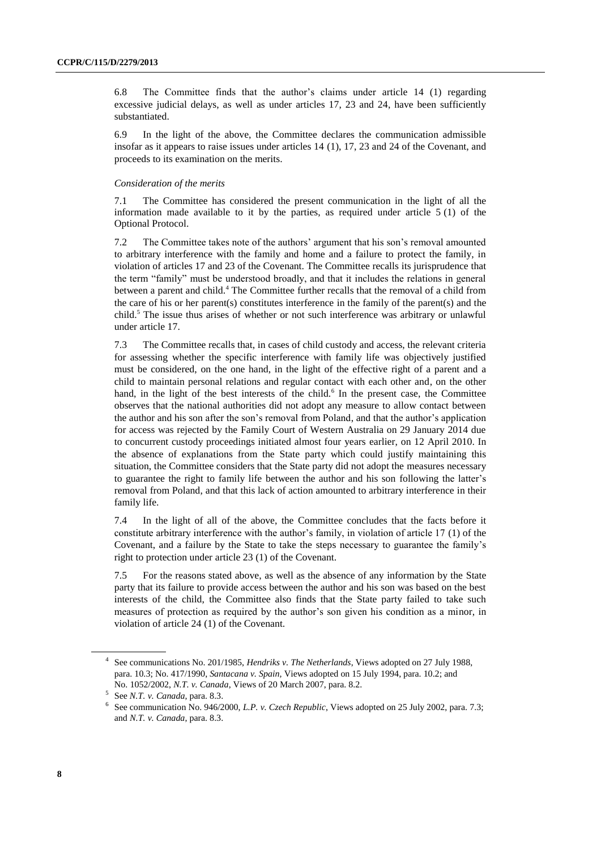6.8 The Committee finds that the author's claims under article 14 (1) regarding excessive judicial delays, as well as under articles 17, 23 and 24, have been sufficiently substantiated.

6.9 In the light of the above, the Committee declares the communication admissible insofar as it appears to raise issues under articles 14 (1), 17, 23 and 24 of the Covenant, and proceeds to its examination on the merits.

#### *Consideration of the merits*

7.1 The Committee has considered the present communication in the light of all the information made available to it by the parties, as required under article  $5(1)$  of the Optional Protocol.

7.2 The Committee takes note of the authors' argument that his son's removal amounted to arbitrary interference with the family and home and a failure to protect the family, in violation of articles 17 and 23 of the Covenant. The Committee recalls its jurisprudence that the term "family" must be understood broadly, and that it includes the relations in general between a parent and child.<sup>4</sup> The Committee further recalls that the removal of a child from the care of his or her parent(s) constitutes interference in the family of the parent(s) and the child.<sup>5</sup> The issue thus arises of whether or not such interference was arbitrary or unlawful under article 17.

7.3 The Committee recalls that, in cases of child custody and access, the relevant criteria for assessing whether the specific interference with family life was objectively justified must be considered, on the one hand, in the light of the effective right of a parent and a child to maintain personal relations and regular contact with each other and, on the other hand, in the light of the best interests of the child.<sup>6</sup> In the present case, the Committee observes that the national authorities did not adopt any measure to allow contact between the author and his son after the son's removal from Poland, and that the author's application for access was rejected by the Family Court of Western Australia on 29 January 2014 due to concurrent custody proceedings initiated almost four years earlier, on 12 April 2010. In the absence of explanations from the State party which could justify maintaining this situation, the Committee considers that the State party did not adopt the measures necessary to guarantee the right to family life between the author and his son following the latter's removal from Poland, and that this lack of action amounted to arbitrary interference in their family life.

7.4 In the light of all of the above, the Committee concludes that the facts before it constitute arbitrary interference with the author's family, in violation of article 17 (1) of the Covenant, and a failure by the State to take the steps necessary to guarantee the family's right to protection under article 23 (1) of the Covenant.

7.5 For the reasons stated above, as well as the absence of any information by the State party that its failure to provide access between the author and his son was based on the best interests of the child, the Committee also finds that the State party failed to take such measures of protection as required by the author's son given his condition as a minor, in violation of article 24 (1) of the Covenant.

<sup>4</sup> See communications No. 201/1985, *Hendriks v. The Netherlands*, Views adopted on 27 July 1988, para. 10.3; No. 417/1990, *Santacana v. Spain,* Views adopted on 15 July 1994, para. 10.2; and No. 1052/2002, *N.T. v. Canada*, Views of 20 March 2007, para. 8.2.

<sup>5</sup> See *N.T. v. Canada*, para. 8.3.

<sup>6</sup> See communication No. 946/2000, *L.P. v. Czech Republic*, Views adopted on 25 July 2002, para. 7.3; and *N.T. v. Canada*, para. 8.3.